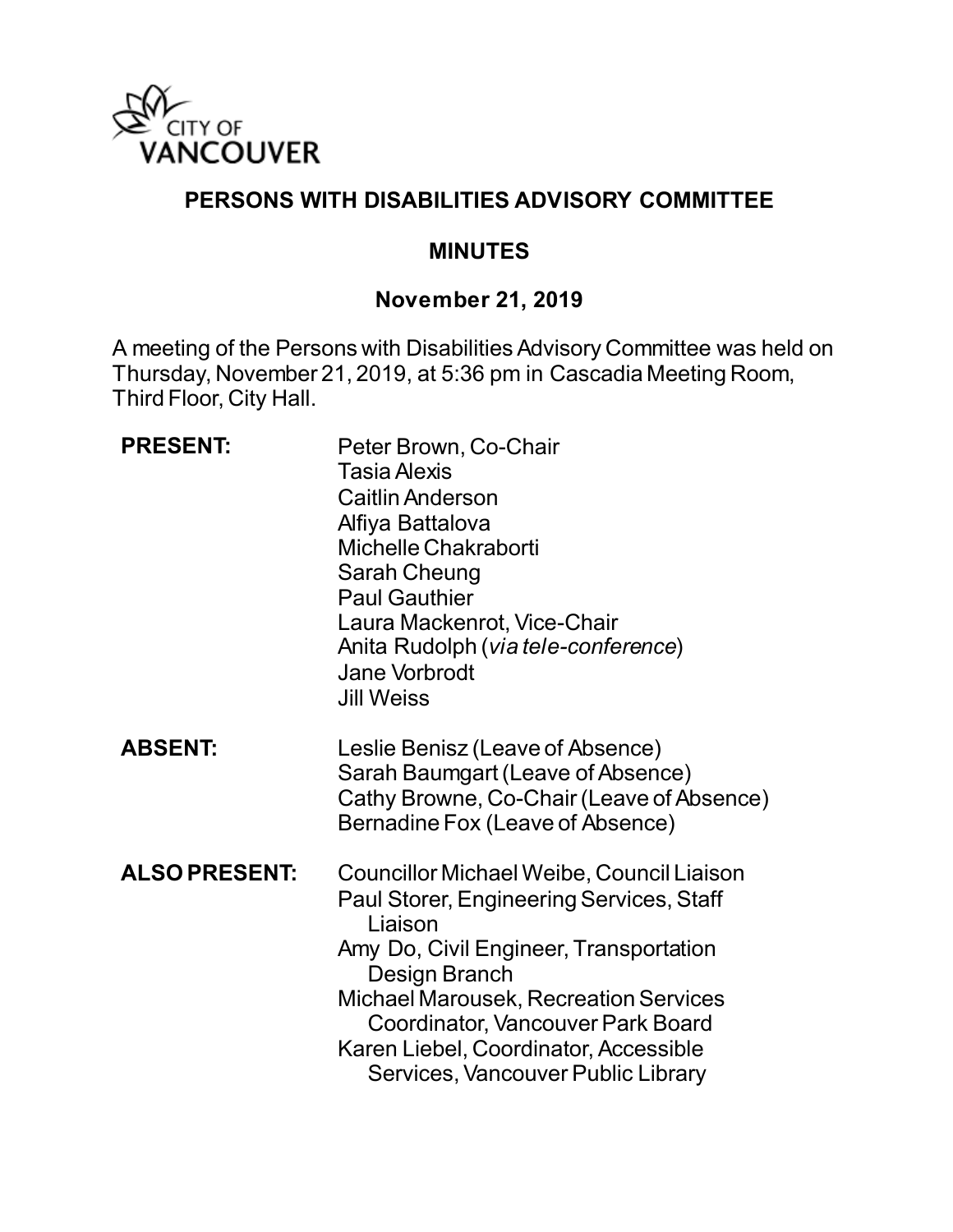

## **PERSONS WITH DISABILITIES ADVISORY COMMITTEE**

#### **MINUTES**

#### **November 21, 2019**

A meeting of the Persons with Disabilities Advisory Committee was held on Thursday, November 21, 2019, at 5:36 pm in Cascadia Meeting Room, Third Floor, City Hall.

| <b>PRESENT:</b>      | Peter Brown, Co-Chair<br><b>Tasia Alexis</b><br><b>Caitlin Anderson</b><br>Alfiya Battalova<br>Michelle Chakraborti<br><b>Sarah Cheung</b><br><b>Paul Gauthier</b><br>Laura Mackenrot, Vice-Chair<br>Anita Rudolph ( <i>via tele-conference</i> )<br>Jane Vorbrodt<br><b>Jill Weiss</b>                                         |
|----------------------|---------------------------------------------------------------------------------------------------------------------------------------------------------------------------------------------------------------------------------------------------------------------------------------------------------------------------------|
| <b>ABSENT:</b>       | Leslie Benisz (Leave of Absence)<br>Sarah Baumgart (Leave of Absence)<br>Cathy Browne, Co-Chair (Leave of Absence)<br>Bernadine Fox (Leave of Absence)                                                                                                                                                                          |
| <b>ALSO PRESENT:</b> | Councillor Michael Weibe, Council Liaison<br>Paul Storer, Engineering Services, Staff<br>Liaison<br>Amy Do, Civil Engineer, Transportation<br>Design Branch<br><b>Michael Marousek, Recreation Services</b><br>Coordinator, Vancouver Park Board<br>Karen Liebel, Coordinator, Accessible<br>Services, Vancouver Public Library |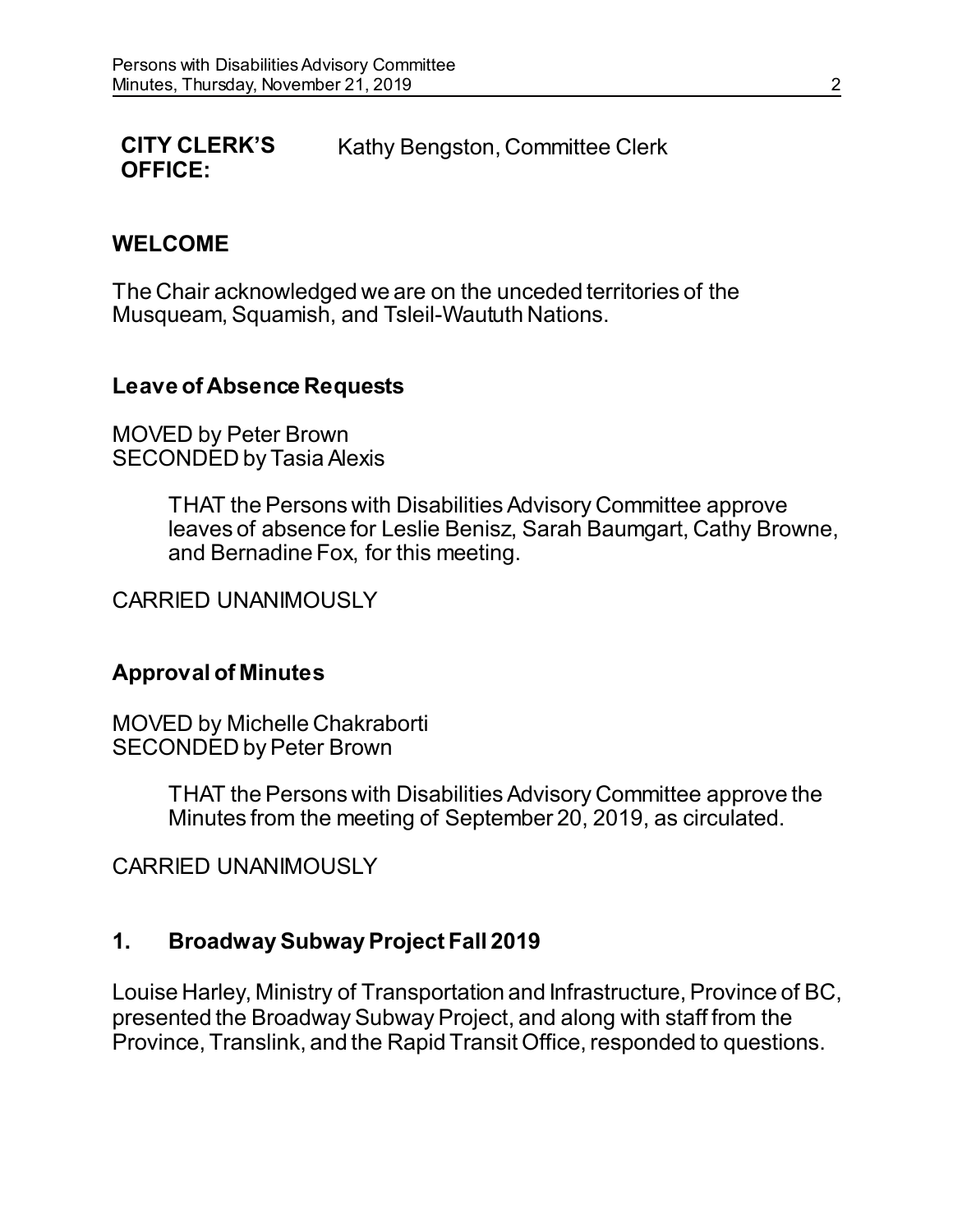#### **CITY CLERK'S OFFICE:** Kathy Bengston, Committee Clerk

#### **WELCOME**

The Chair acknowledged we are on the unceded territories of the Musqueam, Squamish, and Tsleil-Waututh Nations.

#### **Leave of Absence Requests**

MOVED by Peter Brown SECONDED by Tasia Alexis

> THAT the Persons with Disabilities Advisory Committee approve leaves of absence for Leslie Benisz, Sarah Baumgart, Cathy Browne, and Bernadine Fox, for this meeting.

CARRIED UNANIMOUSLY

#### **Approval of Minutes**

MOVED by Michelle Chakraborti SECONDED by Peter Brown

> THAT the Persons with Disabilities Advisory Committee approve the Minutes from the meeting of September 20, 2019, as circulated.

CARRIED UNANIMOUSLY

#### **1. Broadway Subway Project Fall 2019**

Louise Harley, Ministry of Transportation and Infrastructure, Province of BC, presented the Broadway Subway Project, and along with staff from the Province, Translink, and the Rapid Transit Office, responded to questions.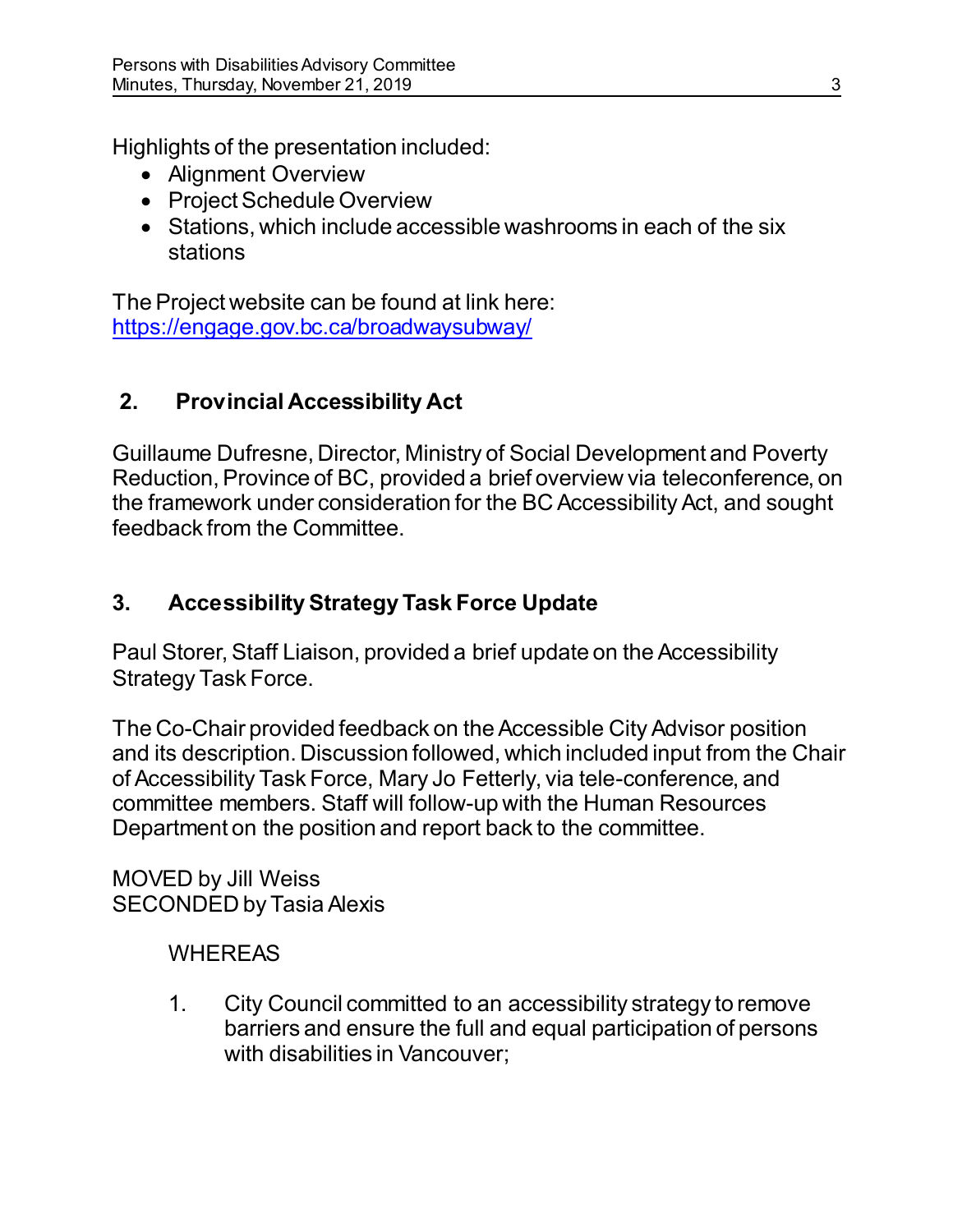Highlights of the presentation included:

- Alignment Overview
- Project Schedule Overview
- Stations, which include accessible washrooms in each of the six stations

The Project website can be found at link here: <https://engage.gov.bc.ca/broadwaysubway/>

# **2. Provincial Accessibility Act**

Guillaume Dufresne, Director, Ministry of Social Development and Poverty Reduction, Province of BC, provided a brief overview via teleconference, on the framework under consideration for the BC Accessibility Act, and sought feedback from the Committee.

# **3. Accessibility Strategy Task Force Update**

Paul Storer, Staff Liaison, provided a brief update on the Accessibility Strategy Task Force.

The Co-Chair provided feedback on the Accessible City Advisor position and its description. Discussion followed, which included input from the Chair of Accessibility Task Force, Mary Jo Fetterly, via tele-conference, and committee members. Staff will follow-up with the Human Resources Department on the position and report back to the committee.

#### MOVED by Jill Weiss SECONDED by Tasia Alexis

# **WHEREAS**

1. City Council committed to an accessibility strategy to remove barriers and ensure the full and equal participation of persons with disabilities in Vancouver;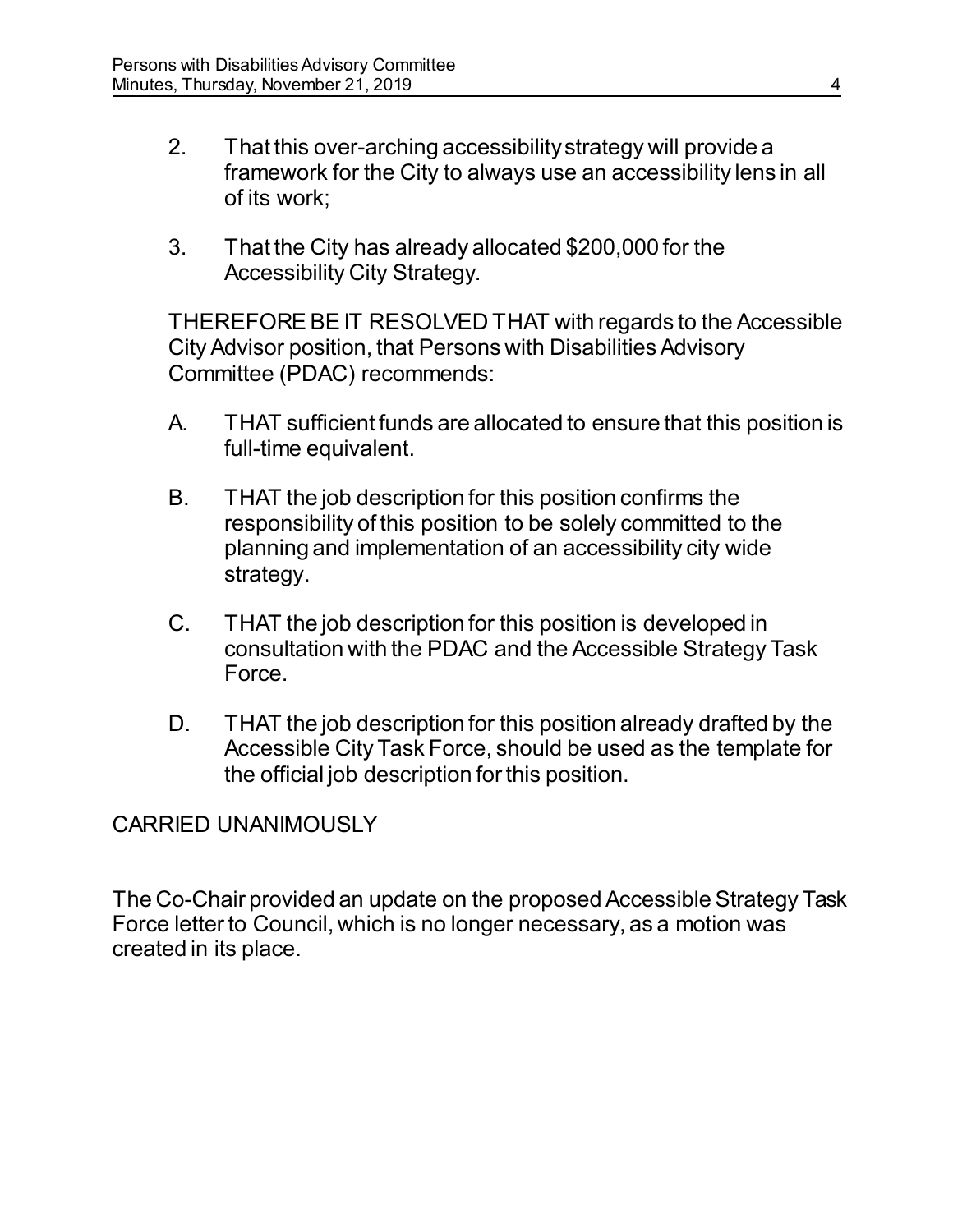- 2. That this over-arching accessibility strategy will provide a framework for the City to always use an accessibility lens in all of its work;
- 3. That the City has already allocated \$200,000 for the Accessibility City Strategy.

THEREFORE BE IT RESOLVED THAT with regards to the Accessible City Advisor position, that Persons with Disabilities Advisory Committee (PDAC) recommends:

- A. THAT sufficient funds are allocated to ensure that this position is full-time equivalent.
- B. THAT the job description for this position confirms the responsibility of this position to be solely committed to the planning and implementation of an accessibility city wide strategy.
- C. THAT the job description for this position is developed in consultation with the PDAC and the Accessible Strategy Task Force.
- D. THAT the job description for this position already drafted by the Accessible City Task Force, should be used as the template for the official job description for this position.

#### CARRIED UNANIMOUSLY

The Co-Chair provided an update on the proposed Accessible Strategy Task Force letter to Council, which is no longer necessary, as a motion was created in its place.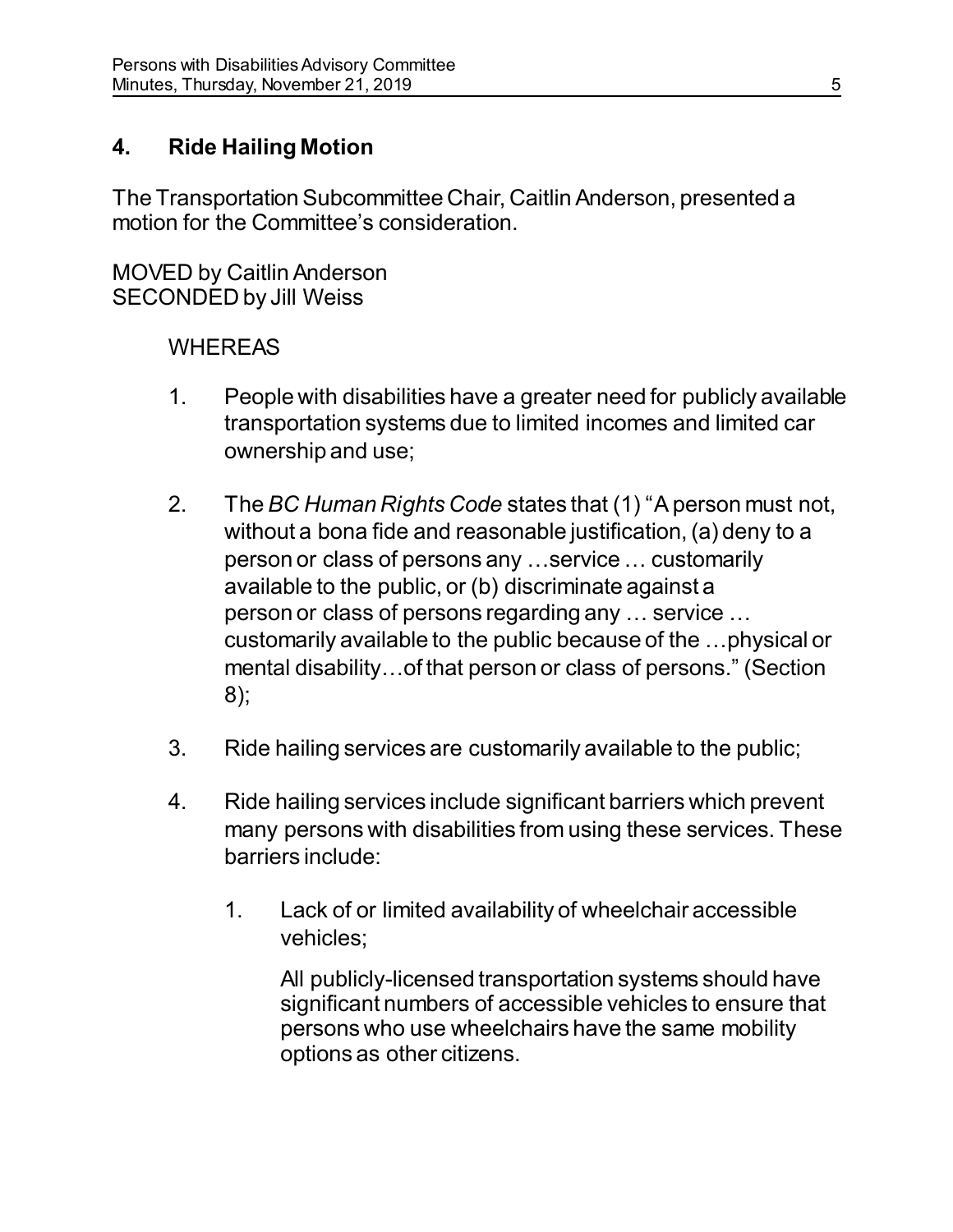# **4. Ride Hailing Motion**

The Transportation Subcommittee Chair, Caitlin Anderson, presented a motion for the Committee's consideration.

MOVED by Caitlin Anderson SECONDED by Jill Weiss

# WHEREAS

- 1. People with disabilities have a greater need for publicly available transportation systems due to limited incomes and limited car ownership and use;
- 2. The *BC Human Rights Code* states that (1) "A person must not, without a bona fide and reasonable justification, (a) deny to a person or class of persons any …service … customarily available to the public, or (b) discriminate against a person or class of persons regarding any … service … customarily available to the public because of the …physical or mental disability…of that person or class of persons." (Section 8);
- 3. Ride hailing services are customarily available to the public;
- 4. Ride hailing services include significant barriers which prevent many persons with disabilities from using these services. These barriers include:
	- 1. Lack of or limited availability of wheelchair accessible vehicles;

All publicly-licensed transportation systems should have significant numbers of accessible vehicles to ensure that persons who use wheelchairs have the same mobility options as other citizens.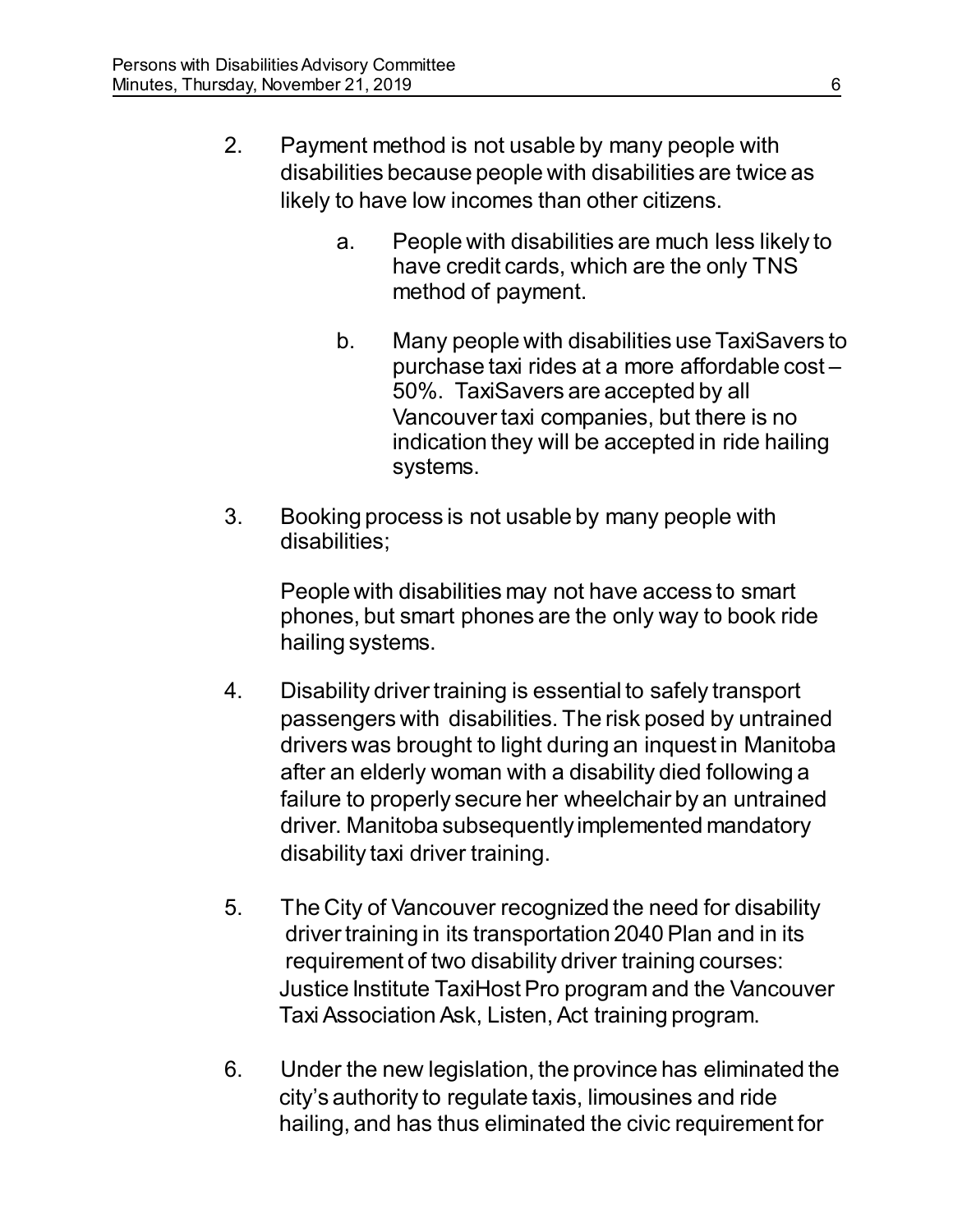- 2. Payment method is not usable by many people with disabilities because people with disabilities are twice as likely to have low incomes than other citizens.
	- a. People with disabilities are much less likely to have credit cards, which are the only TNS method of payment.
	- b. Many people with disabilities use TaxiSavers to purchase taxi rides at a more affordable cost – 50%. TaxiSavers are accepted by all Vancouver taxi companies, but there is no indication they will be accepted in ride hailing systems.
- 3. Booking process is not usable by many people with disabilities;

People with disabilities may not have access to smart phones, but smart phones are the only way to book ride hailing systems.

- 4. Disability driver training is essential to safely transport passengers with disabilities. The risk posed by untrained drivers was brought to light during an inquest in Manitoba after an elderly woman with a disability died following a failure to properly secure her wheelchair by an untrained driver. Manitoba subsequently implemented mandatory disability taxi driver training.
- 5. The City of Vancouver recognized the need for disability driver training in its transportation 2040 Plan and in its requirement of two disability driver training courses: Justice Institute TaxiHost Pro program and the Vancouver Taxi Association Ask, Listen, Act training program.
- 6. Under the new legislation, the province has eliminated the city's authority to regulate taxis, limousines and ride hailing, and has thus eliminated the civic requirement for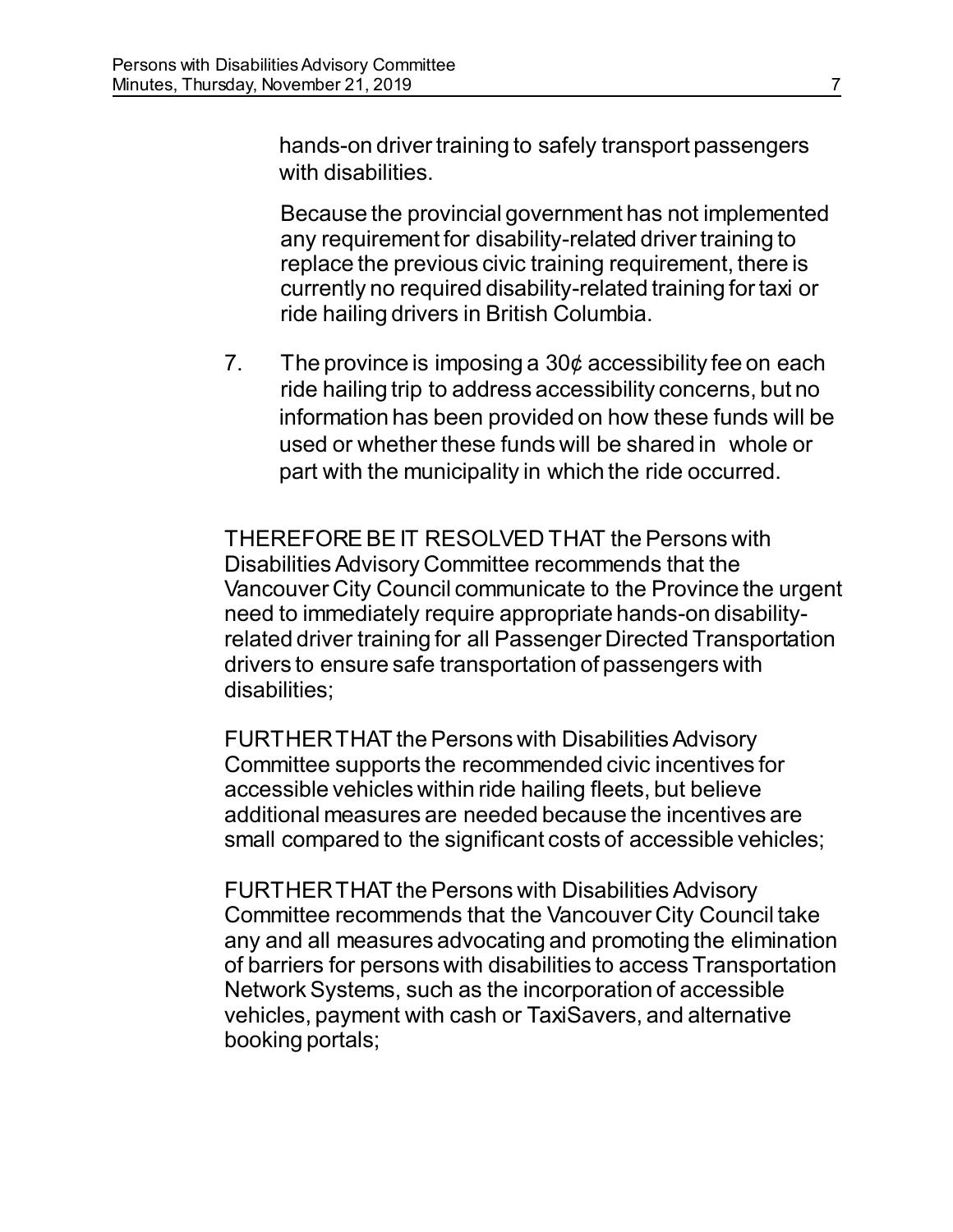hands-on driver training to safely transport passengers with disabilities.

Because the provincial government has not implemented any requirement for disability-related driver training to replace the previous civic training requirement, there is currently no required disability-related training for taxi or ride hailing drivers in British Columbia.

7. The province is imposing a  $30¢$  accessibility fee on each ride hailing trip to address accessibility concerns, but no information has been provided on how these funds will be used or whether these funds will be shared in whole or part with the municipality in which the ride occurred.

THEREFORE BE IT RESOLVED THAT the Persons with Disabilities Advisory Committee recommends that the Vancouver City Council communicate to the Province the urgent need to immediately require appropriate hands-on disabilityrelated driver training for all Passenger Directed Transportation drivers to ensure safe transportation of passengers with disabilities;

FURTHER THAT the Persons with Disabilities Advisory Committee supports the recommended civic incentives for accessible vehicles within ride hailing fleets, but believe additional measures are needed because the incentives are small compared to the significant costs of accessible vehicles;

FURTHER THAT the Persons with Disabilities Advisory Committee recommends that the Vancouver City Council take any and all measures advocating and promoting the elimination of barriers for persons with disabilities to access Transportation Network Systems, such as the incorporation of accessible vehicles, payment with cash or TaxiSavers, and alternative booking portals;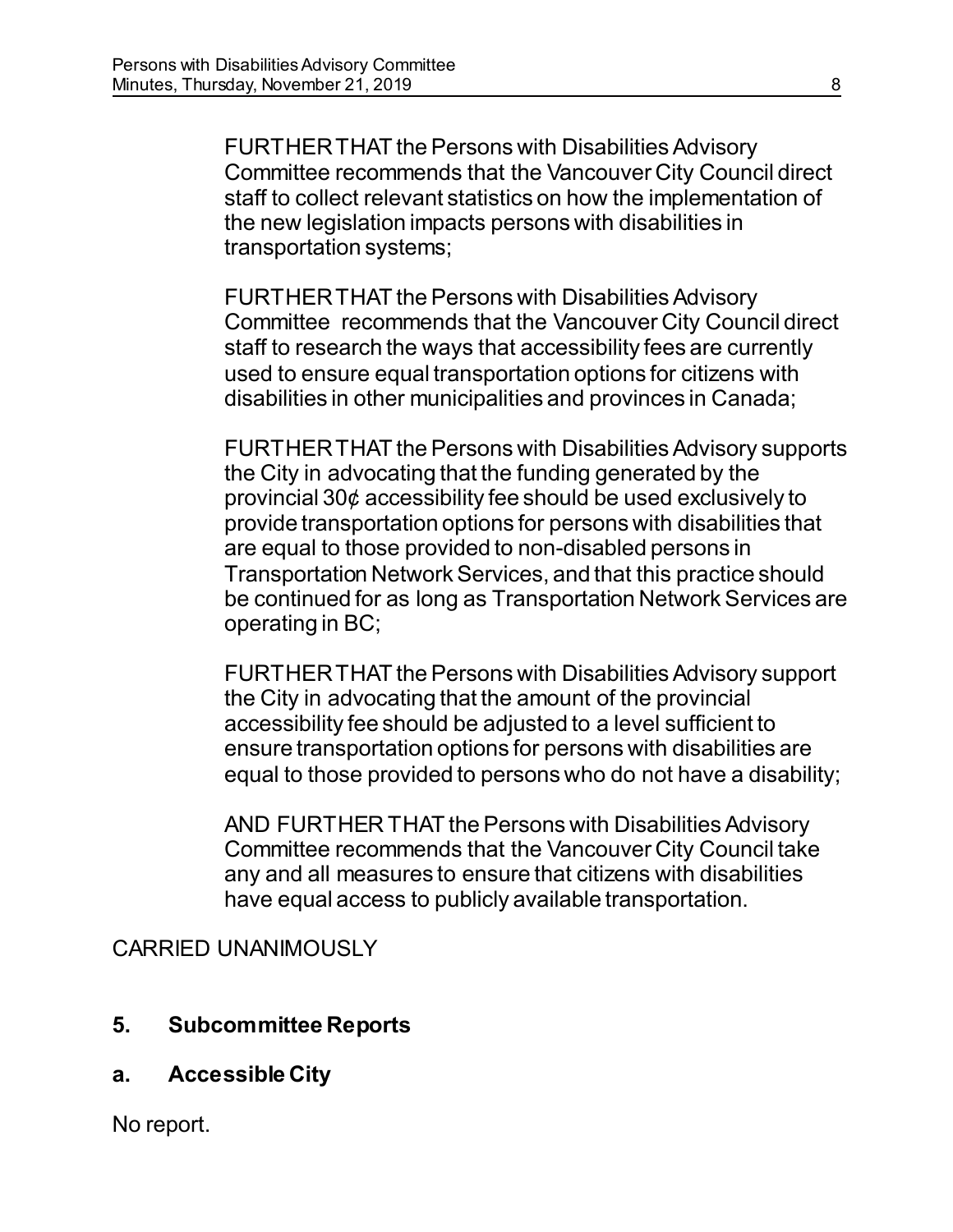FURTHER THAT the Persons with Disabilities Advisory Committee recommends that the Vancouver City Council direct staff to collect relevant statistics on how the implementation of the new legislation impacts persons with disabilities in transportation systems;

FURTHER THAT the Persons with Disabilities Advisory Committee recommends that the Vancouver City Council direct staff to research the ways that accessibility fees are currently used to ensure equal transportation options for citizens with disabilities in other municipalities and provinces in Canada;

FURTHER THAT the Persons with Disabilities Advisory supports the City in advocating that the funding generated by the provincial 30¢ accessibility fee should be used exclusively to provide transportation options for persons with disabilities that are equal to those provided to non-disabled persons in Transportation Network Services, and that this practice should be continued for as long as Transportation Network Services are operating in BC;

FURTHER THAT the Persons with Disabilities Advisory support the City in advocating that the amount of the provincial accessibility fee should be adjusted to a level sufficient to ensure transportation options for persons with disabilities are equal to those provided to persons who do not have a disability;

AND FURTHER THAT the Persons with Disabilities Advisory Committee recommends that the Vancouver City Council take any and all measures to ensure that citizens with disabilities have equal access to publicly available transportation.

CARRIED UNANIMOUSLY

- **5. Subcommittee Reports**
- **a. Accessible City**

No report.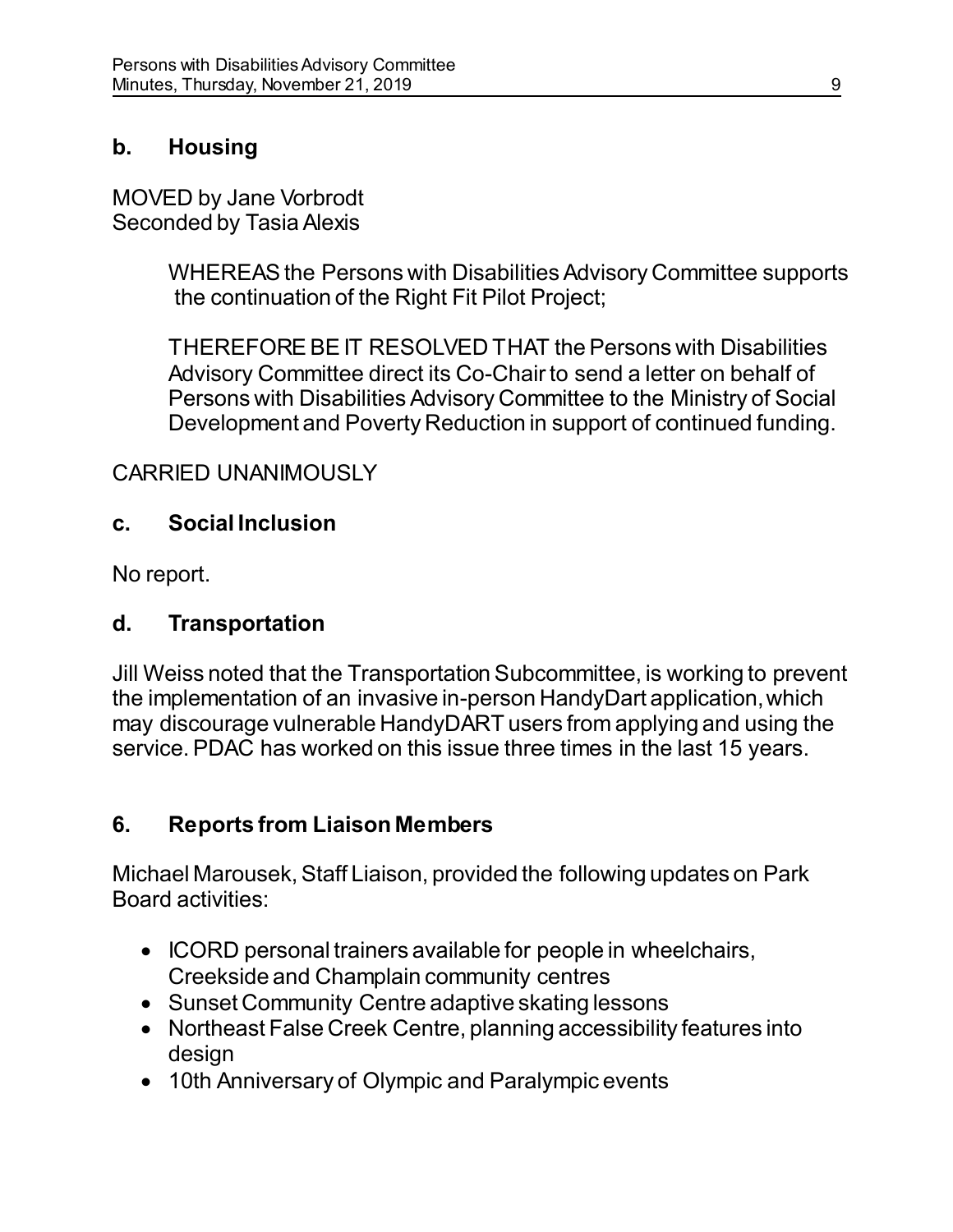## **b. Housing**

MOVED by Jane Vorbrodt Seconded by Tasia Alexis

> WHEREAS the Persons with Disabilities Advisory Committee supports the continuation of the Right Fit Pilot Project;

THEREFORE BE IT RESOLVED THAT the Persons with Disabilities Advisory Committee direct its Co-Chair to send a letter on behalf of Persons with Disabilities Advisory Committee to the Ministry of Social Development and Poverty Reduction in support of continued funding.

# CARRIED UNANIMOUSLY

### **c. Social Inclusion**

No report.

#### **d. Transportation**

Jill Weiss noted that the Transportation Subcommittee, is working to prevent the implementation of an invasive in-person HandyDart application, which may discourage vulnerable HandyDART users from applying and using the service. PDAC has worked on this issue three times in the last 15 years.

# **6. Reports from Liaison Members**

Michael Marousek, Staff Liaison, provided the following updates on Park Board activities:

- ICORD personal trainers available for people in wheelchairs, Creekside and Champlain community centres
- Sunset Community Centre adaptive skating lessons
- Northeast False Creek Centre, planning accessibility features into design
- 10th Anniversary of Olympic and Paralympic events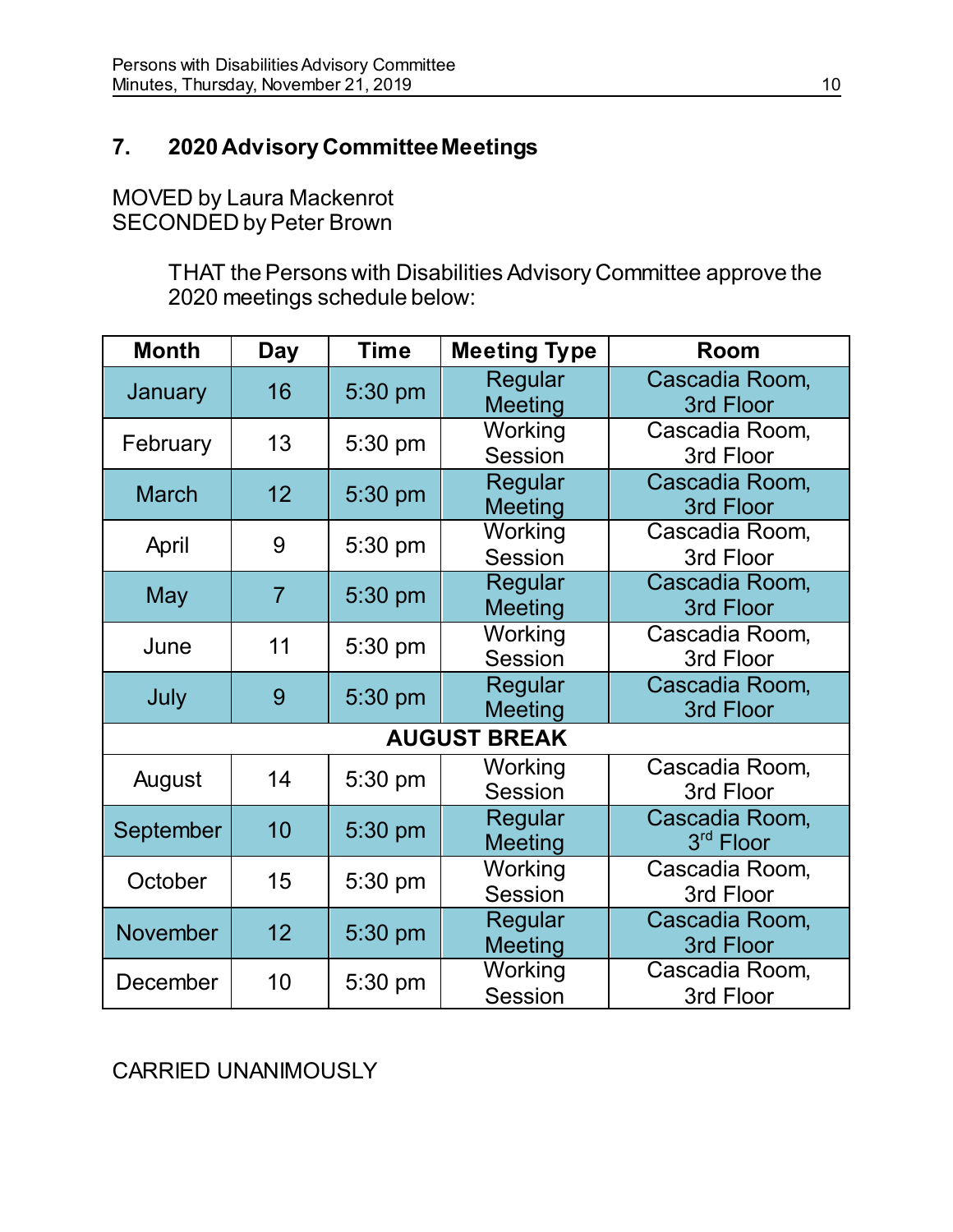# **7. 2020 Advisory Committee Meetings**

MOVED by Laura Mackenrot SECONDED by Peter Brown

> THAT the Persons with Disabilities Advisory Committee approve the 2020 meetings schedule below:

| <b>Month</b>                  | Day             | <b>Time</b> | <b>Meeting Type</b>       | Room                                    |  |
|-------------------------------|-----------------|-------------|---------------------------|-----------------------------------------|--|
| January                       | 16              | 5:30 pm     | Regular<br><b>Meeting</b> | Cascadia Room,<br>3rd Floor             |  |
| February                      | 13              | 5:30 pm     | Working<br>Session        | Cascadia Room,<br>3rd Floor             |  |
| <b>March</b>                  | 12 <sub>2</sub> | 5:30 pm     | Regular<br><b>Meeting</b> | Cascadia Room,<br>3rd Floor             |  |
| April                         | 9               | 5:30 pm     | Working<br>Session        | Cascadia Room,<br>3rd Floor             |  |
| May                           | $\overline{7}$  | 5:30 pm     | Regular<br><b>Meeting</b> | Cascadia Room,<br>3rd Floor             |  |
| June                          | 11              | 5:30 pm     | Working<br>Session        | Cascadia Room,<br>3rd Floor             |  |
| July                          | 9               | 5:30 pm     | Regular<br><b>Meeting</b> | Cascadia Room,<br>3rd Floor             |  |
| <b>AUGUST</b><br><b>BREAK</b> |                 |             |                           |                                         |  |
| August                        | 14              | 5:30 pm     | Working<br>Session        | Cascadia Room,<br>3rd Floor             |  |
| September                     | 10              | 5:30 pm     | Regular<br><b>Meeting</b> | Cascadia Room,<br>3 <sup>rd</sup> Floor |  |
| October                       | 15              | 5:30 pm     | Working<br>Session        | Cascadia Room,<br>3rd Floor             |  |
| November                      | 12 <sup>2</sup> | 5:30 pm     | Regular<br><b>Meeting</b> | Cascadia Room,<br>3rd Floor             |  |
| December                      | 10              | 5:30 pm     | Working<br><b>Session</b> | Cascadia Room,<br>3rd Floor             |  |

CARRIED UNANIMOUSLY